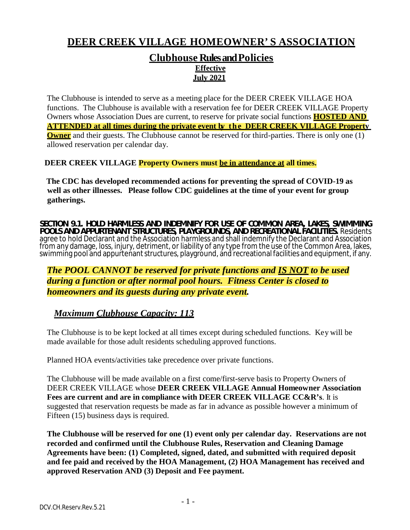# **DEER CREEK VILLAGE HOMEOWNER' S ASSOCIATION**

#### **Clubhouse Rules and Policies Effective July 2021**

The Clubhouse is intended to serve as a meeting place for the DEER CREEK VILLAGE HOA functions. The Clubhouse is available with a reservation fee for DEER CREEK VILLAGE Property Owners whose Association Dues are current, to reserve for private social functions **HOSTED AND ATTENDED at all times during the private event by the DEER CREEK VILLAGE Property Owner** and their guests. The Clubhouse cannot be reserved for third-parties. There is only one (1) allowed reservation per calendar day.

#### **DEER CREEK VILLAGE Property Owners must be in attendance at all times.**

**The CDC has developed recommended actions for preventing the spread of COVID-19 as well as other illnesses. Please follow CDC guidelines at the time of your event for group gatherings.**

**SECTION 9.1. HOLD HARMLESS AND INDEMNIFY FOR USE OF COMMON AREA, LAKES, SWIMMING POOLS AND APPURTENANT STRUCTURES, PLAYGROUNDS, AND RECREATIONAL FACILITIES.** Residents agree to hold Declarant and the Association harmless and shall indemnify the Declarant and Association<br>from any damage, loss, injury, detriment, or liability of any type from the use of the Common Area, lakes, swimming pool and appurtenant structures, playground, and recreational facilities and equipment, if any.

#### *The POOL CANNOT be reserved for private functions and IS NOT to be used during a function or after normal pool hours. Fitness Center is closed to homeowners and its guests during any private event.*

### *Maximum Clubhouse Capacity: 113*

The Clubhouse is to be kept locked at all times except during scheduled functions. Key will be made available for those adult residents scheduling approved functions.

Planned HOA events/activities take precedence over private functions.

The Clubhouse will be made available on a first come/first-serve basis to Property Owners of DEER CREEK VILLAGE whose **DEER CREEK VILLAGE Annual Homeowner Association Fees are current and are in compliance with DEER CREEK VILLAGE CC&R's**. It is suggested that reservation requests be made as far in advance as possible however a minimum of Fifteen (15) business days is required.

**The Clubhouse will be reserved for one (1) event only per calendar day. Reservations are not recorded and confirmed until the Clubhouse Rules, Reservation and Cleaning Damage Agreements have been: (1) Completed, signed, dated, and submitted with required deposit and fee paid and received by the HOA Management, (2) HOA Management has received and approved Reservation AND (3) Deposit and Fee payment.**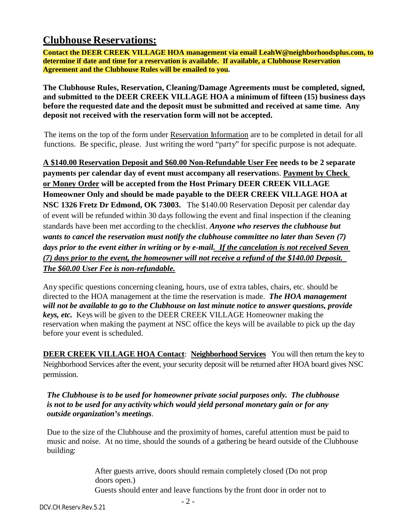### **Clubhouse Reservations:**

**Contact the DEER CREEK VILLAGE HOA management via email LeahW@neighborhoodsplus.com, to determine if date and time for a reservation is available. If available, a Clubhouse Reservation Agreement and the Clubhouse Rules will be emailed to you.**

**The Clubhouse Rules, Reservation, Cleaning/Damage Agreements must be completed, signed, and submitted to the DEER CREEK VILLAGE HOA a minimum of fifteen (15) business days before the requested date and the deposit must be submitted and received at same time. Any deposit not received with the reservation form will not be accepted.**

The items on the top of the form under Reservation Information are to be completed in detail for all functions. Be specific, please. Just writing the word "party" for specific purpose is not adequate.

**A \$140.00 Reservation Deposit and \$60.00 Non-Refundable User Fee needs to be 2 separate payments per calendar day of event must accompany all reservation**s. **Payment by Check or Money Order will be accepted from the Host Primary DEER CREEK VILLAGE Homeowner Only and should be made payable to the DEER CREEK VILLAGE HOA at NSC 1326 Fretz Dr Edmond, OK 73003.** The \$140.00 Reservation Deposit per calendar day of event will be refunded within 30 days following the event and final inspection if the cleaning standards have been met according to the checklist. *Anyone who reserves the clubhouse but wants to cancel the reservation must notify the clubhouse committee no later than Seven (7) days prior to the event either in writing or by e-mail. If the cancelation is not received Seven (7) days prior to the event, the homeowner will not receive a refund of the \$140.00 Deposit. The \$60.00 User Fee is non-refundable.*

Any specific questions concerning cleaning, hours, use of extra tables, chairs, etc. should be directed to the HOA management at the time the reservation is made. *The HOA management will not be available to go to the Clubhouse on last minute notice to answer questions, provide keys, etc.* Keys will be given to the DEER CREEK VILLAGE Homeowner making the reservation when making the payment at NSC office the keys will be available to pick up the day before your event is scheduled.

**DEER CREEK VILLAGE HOA Contact**: **Neighborhood Services** You will then return the key to Neighborhood Services after the event, your security deposit will be returned after HOA board gives NSC permission.

*The Clubhouse is to be used for homeowner private social purposes only. The clubhouse is not to be used for any activity which would yield personal monetary gain or for any outside organization's meetings*.

Due to the size of the Clubhouse and the proximity of homes, careful attention must be paid to music and noise. At no time, should the sounds of a gathering be heard outside of the Clubhouse building:

> After guests arrive, doors should remain completely closed (Do not prop doors open.) Guests should enter and leave functions by the front door in order not to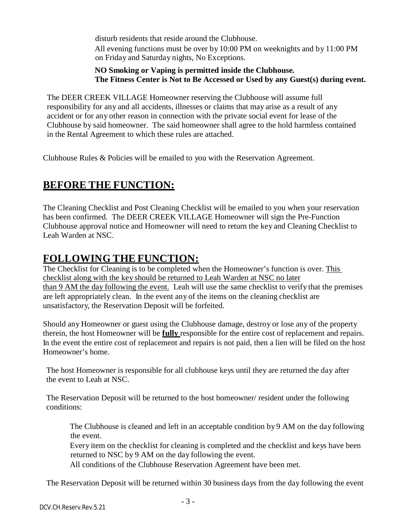disturb residents that reside around the Clubhouse. All evening functions must be over by 10:00 PM on weeknights and by 11:00 PM on Friday and Saturday nights, No Exceptions.

#### **NO Smoking or Vaping is permitted inside the Clubhouse. The Fitness Center is Not to Be Accessed or Used by any Guest(s) during event.**

The DEER CREEK VILLAGE Homeowner reserving the Clubhouse will assume full responsibility for any and all accidents, illnesses or claims that may arise as a result of any accident or for any other reason in connection with the private social event for lease of the Clubhouse by said homeowner. The said homeowner shall agree to the hold harmless contained in the Rental Agreement to which these rules are attached.

Clubhouse Rules & Policies will be emailed to you with the Reservation Agreement.

# **BEFORE THE FUNCTION:**

The Cleaning Checklist and Post Cleaning Checklist will be emailed to you when your reservation has been confirmed. The DEER CREEK VILLAGE Homeowner will sign the Pre-Function Clubhouse approval notice and Homeowner will need to return the key and Cleaning Checklist to Leah Warden at NSC.

### **FOLLOWING THE FUNCTION:**

The Checklist for Cleaning is to be completed when the Homeowner's function is over. This checklist along with the key should be returned to Leah Warden at NSC no later than 9 AM the day following the event. Leah will use the same checklist to verify that the premises are left appropriately clean. In the event any of the items on the cleaning checklist are unsatisfactory, the Reservation Deposit will be forfeited.

Should any Homeowner or guest using the Clubhouse damage, destroy or lose any of the property therein, the host Homeowner will be **fully** responsible for the entire cost of replacement and repairs. In the event the entire cost of replacement and repairs is not paid, then a lien will be filed on the host Homeowner's home.

The host Homeowner is responsible for all clubhouse keys until they are returned the day after the event to Leah at NSC.

The Reservation Deposit will be returned to the host homeowner/ resident under the following conditions:

The Clubhouse is cleaned and left in an acceptable condition by 9 AM on the day following the event.

Every item on the checklist for cleaning is completed and the checklist and keys have been returned to NSC by 9 AM on the day following the event.

All conditions of the Clubhouse Reservation Agreement have been met.

The Reservation Deposit will be returned within 30 business days from the day following the event